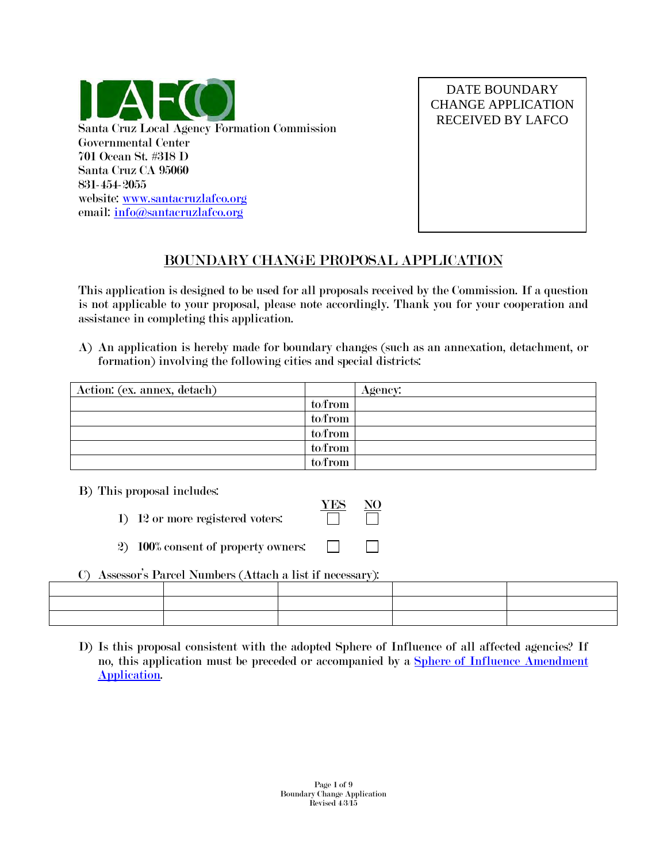

DATE BOUNDARY CHANGE APPLICATION RECEIVED BY LAFCO

## BOUNDARY CHANGE PROPOSAL APPLICATION

This application is designed to be used for all proposals received by the Commission. If a question is not applicable to your proposal, please note accordingly. Thank you for your cooperation and assistance in completing this application.

A) An application is hereby made for boundary changes (such as an annexation, detachment, or formation) involving the following cities and special districts:

| Action: (ex. annex, detach) |         | Agency: |
|-----------------------------|---------|---------|
|                             | to/from |         |
|                             | to/from |         |
|                             | to/from |         |
|                             | to/from |         |
|                             | to/from |         |

B) This proposal includes:

- YES NO 1) 12 or more registered voters:
- 2) 100% consent of property owners:
- C) Assessor's Parcel Numbers (Attach a list if necessary):

D) Is this proposal consistent with the adopted Sphere of Influence of all affected agencies? If no, this application must be preceded or accompanied by a [Sphere of Influence Amendment](http://www.santacruzlafco.org/pages/forms.html)  [Application.](http://www.santacruzlafco.org/pages/forms.html)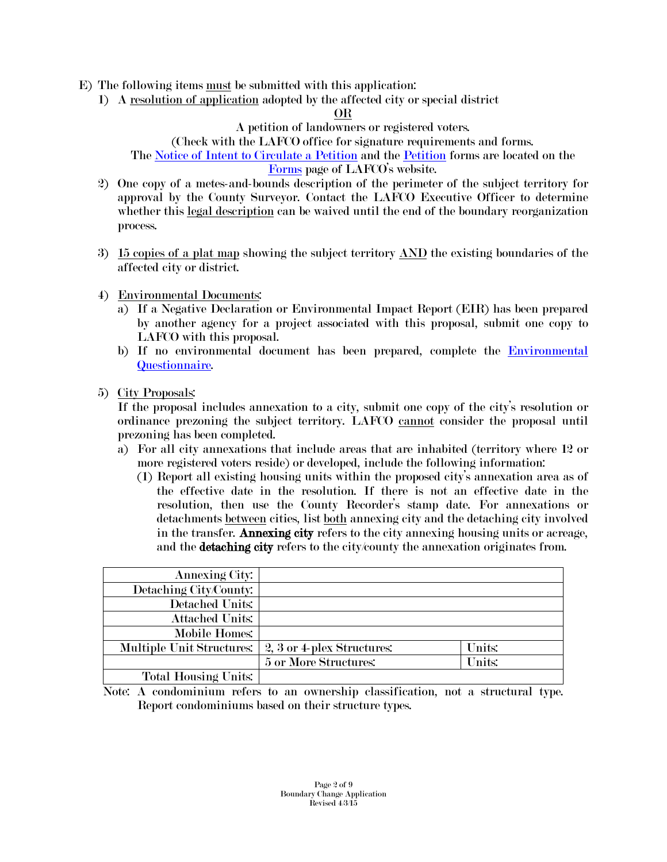- E) The following items must be submitted with this application:
	- 1) A resolution of application adopted by the affected city or special district

#### OR

A petition of landowners or registered voters.

(Check with the LAFCO office for signature requirements and forms.

The [Notice of Intent to Circulate a Petition](http://www.santacruzlafco.org/pages/forms.html) and the [Petition](http://www.santacruzlafco.org/pages/forms.html) forms are located on the [Forms](http://www.santacruzlafco.org/pages/forms.html) page of LAFCO's website.

- 2) One copy of a metes-and-bounds description of the perimeter of the subject territory for approval by the County Surveyor. Contact the LAFCO Executive Officer to determine whether this legal description can be waived until the end of the boundary reorganization process.
- 3) 15 copies of a plat map showing the subject territory AND the existing boundaries of the affected city or district.
- 4) Environmental Documents:
	- a) If a Negative Declaration or Environmental Impact Report (EIR) has been prepared by another agency for a project associated with this proposal, submit one copy to LAFCO with this proposal.
	- b) If no environmental document has been prepared, complete the **Environmental** [Questionnaire.](http://www.santacruzlafco.org/pages/forms.html)
- 5) City Proposals:

If the proposal includes annexation to a city, submit one copy of the city's resolution or ordinance prezoning the subject territory. LAFCO cannot consider the proposal until prezoning has been completed.

- a) For all city annexations that include areas that are inhabited (territory where 12 or more registered voters reside) or developed, include the following information:
	- (1) Report all existing housing units within the proposed city's annexation area as of the effective date in the resolution. If there is not an effective date in the resolution, then use the County Recorder's stamp date. For annexations or detachments between cities, list both annexing city and the detaching city involved in the transfer. Annexing city refers to the city annexing housing units or acreage, and the **detaching city** refers to the city/county the annexation originates from.

| <b>Annexing City:</b>       |                            |        |
|-----------------------------|----------------------------|--------|
| Detaching City/County:      |                            |        |
| Detached Units:             |                            |        |
| <b>Attached Units:</b>      |                            |        |
| Mobile Homes:               |                            |        |
| Multiple Unit Structures:   | 2, 3 or 4-plex Structures: | Units: |
|                             | 5 or More Structures:      | Units: |
| <b>Total Housing Units:</b> |                            |        |

Note: A condominium refers to an ownership classification, not a structural type. Report condominiums based on their structure types.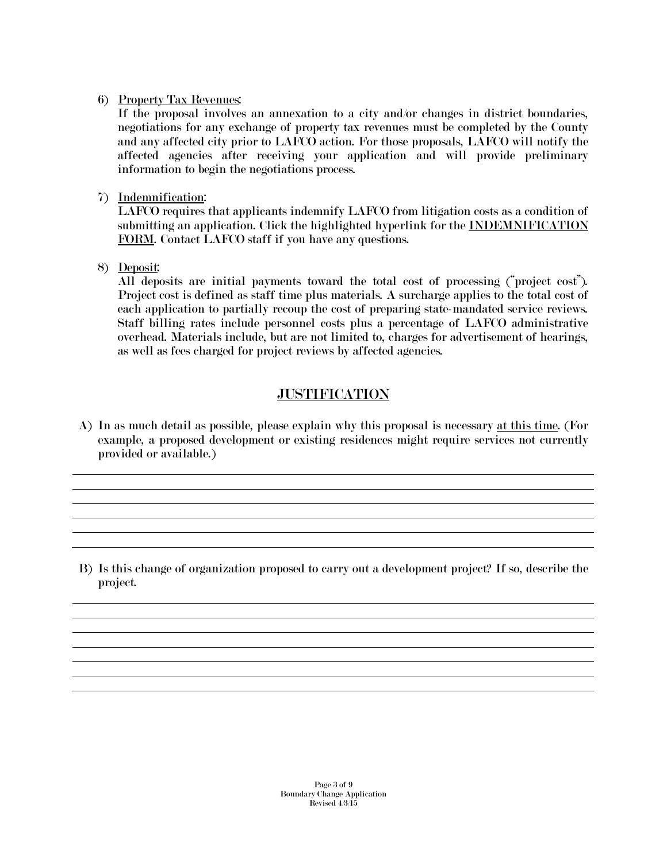#### 6) Property Tax Revenues:

If the proposal involves an annexation to a city and/or changes in district boundaries, negotiations for any exchange of property tax revenues must be completed by the County and any affected city prior to LAFCO action. For those proposals, LAFCO will notify the affected agencies after receiving your application and will provide preliminary information to begin the negotiations process.

7) Indemnification:

LAFCO requires that applicants indemnify LAFCO from litigation costs as a condition of submitting an application. Click the highlighted hyperlink for the INDEMNIFICATION FORM. Contact LAFCO staff if you have any questions.

8) Deposit:

All deposits are initial payments toward the total cost of processing ("project cost"). Project cost is defined as staff time plus materials. A surcharge applies to the total cost of each application to partially recoup the cost of preparing state-mandated service reviews. Staff billing rates include personnel costs plus a percentage of LAFCO administrative overhead. Materials include, but are not limited to, charges for advertisement of hearings, as well as fees charged for project reviews by affected agencies.

## **JUSTIFICATION**

A) In as much detail as possible, please explain why this proposal is necessary at this time. (For example, a proposed development or existing residences might require services not currently provided or available.)

B) Is this change of organization proposed to carry out a development project? If so, describe the project.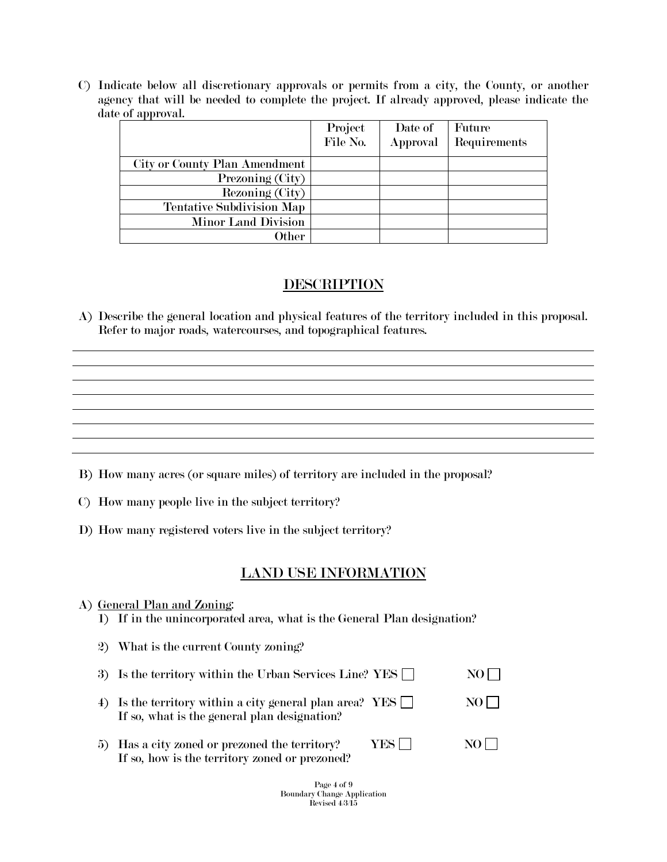C) Indicate below all discretionary approvals or permits from a city, the County, or another agency that will be needed to complete the project. If already approved, please indicate the date of approval.

|                                  | Project  | Date of  | Future       |
|----------------------------------|----------|----------|--------------|
|                                  | File No. | Approval | Requirements |
| City or County Plan Amendment    |          |          |              |
| Prezoning (City)                 |          |          |              |
| Rezoning (City)                  |          |          |              |
| <b>Tentative Subdivision Map</b> |          |          |              |
| <b>Minor Land Division</b>       |          |          |              |
| Other                            |          |          |              |

## **DESCRIPTION**

A) Describe the general location and physical features of the territory included in this proposal. Refer to major roads, watercourses, and topographical features.

- B) How many acres (or square miles) of territory are included in the proposal?
- C) How many people live in the subject territory?
- D) How many registered voters live in the subject territory?

#### LAND USE INFORMATION

# A) General Plan and Zoning: 1) If in the unincorporated area, what is the General Plan designation? 2) What is the current County zoning? 3) Is the territory within the Urban Services Line? YES  $\Box$  NO 4) Is the territory within a city general plan area? YES  $\Box$  NO  $\Box$ If so, what is the general plan designation? 5) Has a city zoned or prezoned the territory? YES  $\Box$  NO If so, how is the territory zoned or prezoned?

Page 4 of 9 Boundary Change Application Revised  $4/3/15$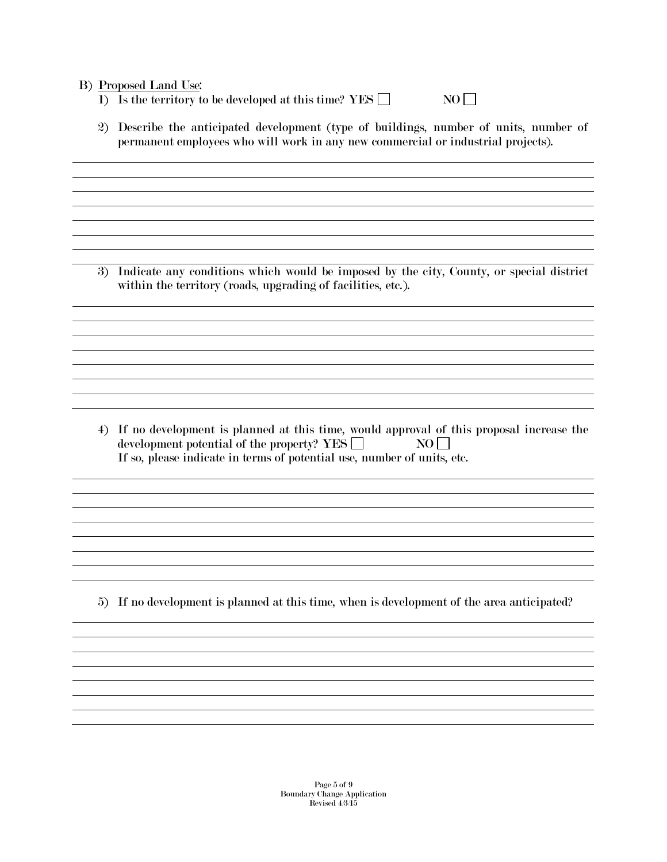#### B) Proposed Land Use:

- 1) Is the territory to be developed at this time? YES  $\Box$  NO  $\Box$
- 2) Describe the anticipated development (type of buildings, number of units, number of permanent employees who will work in any new commercial or industrial projects).

3) Indicate any conditions which would be imposed by the city, County, or special district within the territory (roads, upgrading of facilities, etc.).

4) If no development is planned at this time, would approval of this proposal increase the development potential of the property? YES  $\Box$  NO  $\Box$ If so, please indicate in terms of potential use, number of units, etc.

5) If no development is planned at this time, when is development of the area anticipated?

and the control of the control of the control of the control of the control of the control of the control of the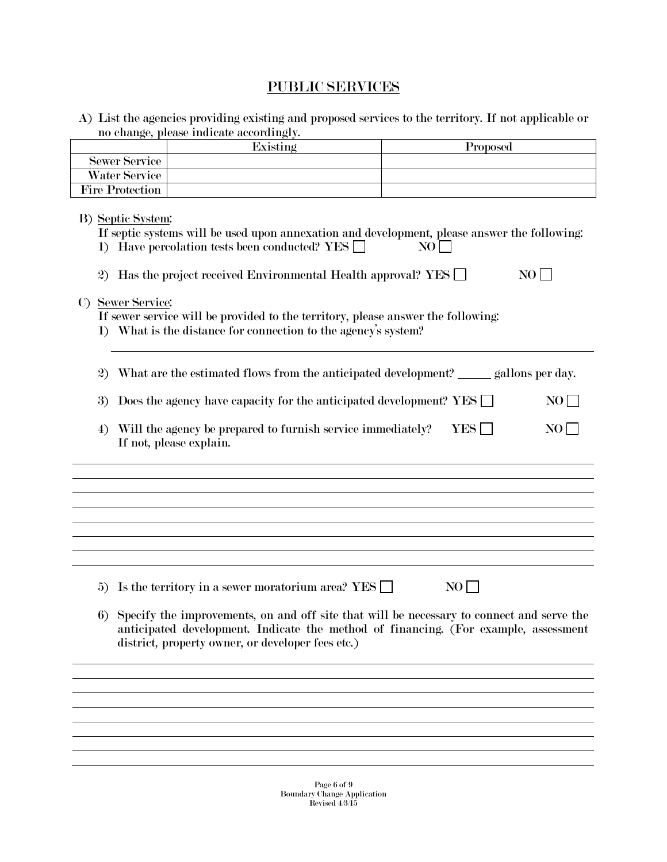## PUBLIC SERVICES

A) List the agencies providing existing and proposed services to the territory. If not applicable or no change, please indicate accordingly.

|                        | Existing | Proposed |
|------------------------|----------|----------|
| <b>Sewer Service</b>   |          |          |
| Water Service          |          |          |
| <b>Fire Protection</b> |          |          |

| B) Septic System:<br>If septic systems will be used upon annexation and development, please answer the following:<br>1) Have percolation tests been conducted? YES<br>NO<br>Has the project received Environmental Health approval? YES $\Box$<br>NO  <br>$\mathbf{2}$<br>C) Sewer Service:<br>If sewer service will be provided to the territory, please answer the following:<br>1) What is the distance for connection to the agency's system? |
|---------------------------------------------------------------------------------------------------------------------------------------------------------------------------------------------------------------------------------------------------------------------------------------------------------------------------------------------------------------------------------------------------------------------------------------------------|
| What are the estimated flows from the anticipated development? ______ gallons per day.<br>$\mathbf{2}$                                                                                                                                                                                                                                                                                                                                            |
| Does the agency have capacity for the anticipated development? YES<br>NO<br>3)                                                                                                                                                                                                                                                                                                                                                                    |
| Will the agency be prepared to furnish service immediately?<br><b>YES</b><br>NO  <br>4)<br>If not, please explain.                                                                                                                                                                                                                                                                                                                                |
|                                                                                                                                                                                                                                                                                                                                                                                                                                                   |
|                                                                                                                                                                                                                                                                                                                                                                                                                                                   |
|                                                                                                                                                                                                                                                                                                                                                                                                                                                   |
|                                                                                                                                                                                                                                                                                                                                                                                                                                                   |
|                                                                                                                                                                                                                                                                                                                                                                                                                                                   |
| NO<br>Is the territory in a sewer moratorium area? YES $\Box$<br>5)                                                                                                                                                                                                                                                                                                                                                                               |
| Specify the improvements, on and off site that will be necessary to connect and serve the<br>6)<br>anticipated development. Indicate the method of financing. (For example, assessment<br>district, property owner, or developer fees etc.)                                                                                                                                                                                                       |
|                                                                                                                                                                                                                                                                                                                                                                                                                                                   |
|                                                                                                                                                                                                                                                                                                                                                                                                                                                   |
|                                                                                                                                                                                                                                                                                                                                                                                                                                                   |
|                                                                                                                                                                                                                                                                                                                                                                                                                                                   |
|                                                                                                                                                                                                                                                                                                                                                                                                                                                   |
|                                                                                                                                                                                                                                                                                                                                                                                                                                                   |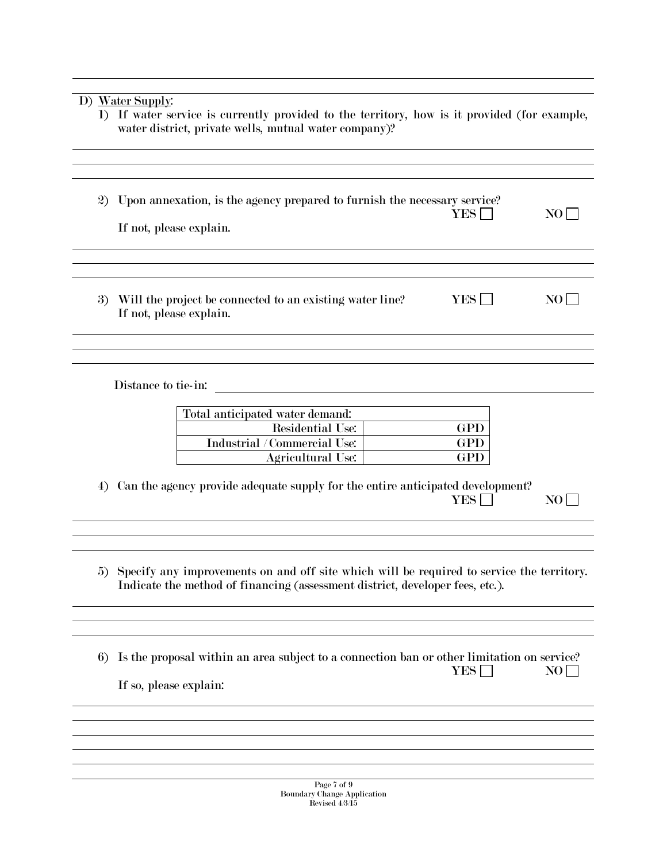## D) Water Supply:

| 1) If water service is currently provided to the territory, how is it provided (for example,<br>water district, private wells, mutual water company)? |
|-------------------------------------------------------------------------------------------------------------------------------------------------------|
| 2) Upon annexation, is the agency prepared to furnish the necessary service?<br>YES L<br>NO L<br>If not, please explain.                              |
|                                                                                                                                                       |

3) Will the project be connected to an existing water line? YES  $\Box$  NO  $\Box$ If not, please explain.

Distance to tie-in:

| Total anticipated water demand: |     |
|---------------------------------|-----|
| Residential Use:                | GPD |
| Industrial / Commercial Use:    | GPD |
| Agricultural Use:               | GPE |

4) Can the agency provide adequate supply for the entire anticipated development? YES NO

5) Specify any improvements on and off site which will be required to service the territory. Indicate the method of financing (assessment district, developer fees, etc.).

6) Is the proposal within an area subject to a connection ban or other limitation on service?  $YES \Box$  NO If so, please explain:

> Page 7 of 9 Boundary Change Application Revised  $4/3/15$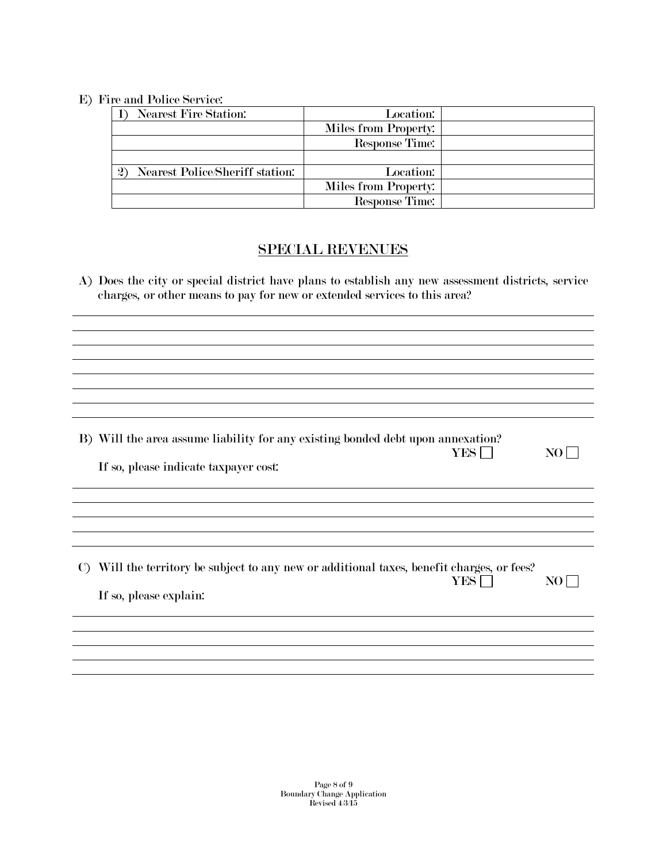#### E) Fire and Police Service:

| Nearest Fire Station:                           | Location:            |  |
|-------------------------------------------------|----------------------|--|
|                                                 | Miles from Property: |  |
|                                                 | Response Time:       |  |
|                                                 |                      |  |
| Nearest Police/Sheriff station:<br>$\mathbf{2}$ | Location:            |  |
|                                                 | Miles from Property: |  |
|                                                 | Response Time:       |  |

## SPECIAL REVENUES

A) Does the city or special district have plans to establish any new assessment districts, service charges, or other means to pay for new or extended services to this area?

B) Will the area assume liability for any existing bonded debt upon annexation?  $YES \Box$  NO $\Box$ 

| If so, please indicate taxpayer cost: |
|---------------------------------------|
|---------------------------------------|

C) Will the territory be subject to any new or additional taxes, benefit charges, or fees?  $YES \Box$  NO If so, please explain: